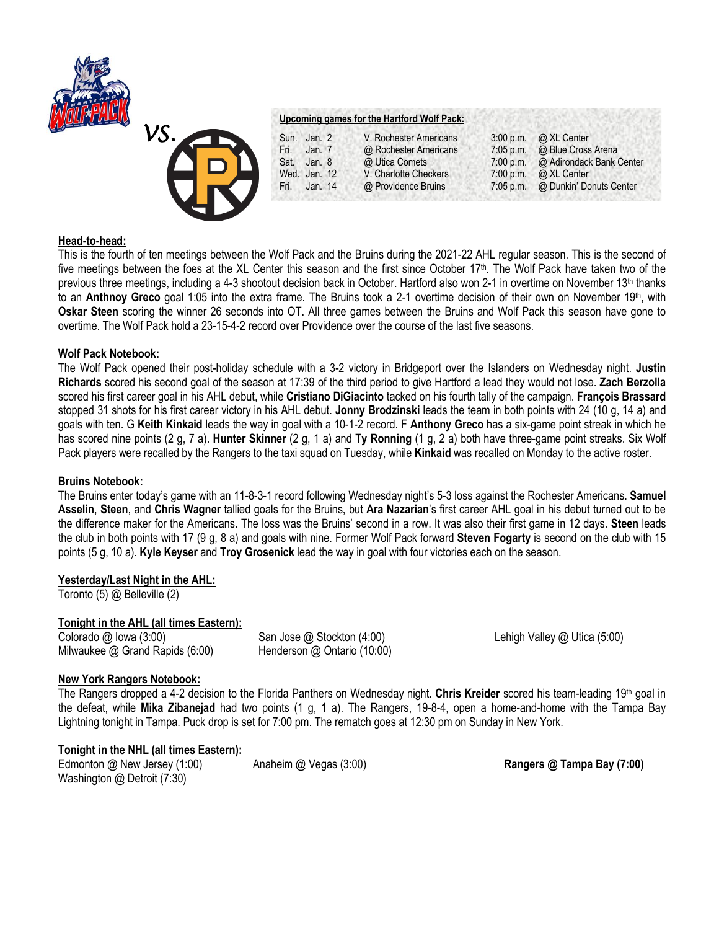



### **Upcoming games for the Hartford Wolf Pack:**

Sun. Jan. 2 V. Rochester Americans 3:00 p.m. @ XL Center Fri. Jan. 7 @ Rochester Americans 7:05 p.m. @ Blue Cross Arena<br>
Sat. Jan. 8 @ Utica Comets 7:00 p.m. @ Adirondack Bank \ Sat. Jan. 8 @ Utica Comets 7:00 p.m. @ Adirondack Bank Center<br>Wed. Jan. 12 V. Charlotte Checkers 7:00 p.m. @ XL Center Wed. Jan. 12 V. Charlotte Checkers 7:00 p.m. Fri. Jan. 14 @ Providence Bruins 7:05 p.m. @ Dunkin' Donuts Center

## **Head-to-head:**

This is the fourth of ten meetings between the Wolf Pack and the Bruins during the 2021-22 AHL regular season. This is the second of five meetings between the foes at the XL Center this season and the first since October 17<sup>th</sup>. The Wolf Pack have taken two of the previous three meetings, including a 4-3 shootout decision back in October. Hartford also won 2-1 in overtime on November 13<sup>th</sup> thanks to an **Anthnoy Greco** goal 1:05 into the extra frame. The Bruins took a 2-1 overtime decision of their own on November 19th, with **Oskar Steen** scoring the winner 26 seconds into OT. All three games between the Bruins and Wolf Pack this season have gone to overtime. The Wolf Pack hold a 23-15-4-2 record over Providence over the course of the last five seasons.

### **Wolf Pack Notebook:**

The Wolf Pack opened their post-holiday schedule with a 3-2 victory in Bridgeport over the Islanders on Wednesday night. **Justin Richards** scored his second goal of the season at 17:39 of the third period to give Hartford a lead they would not lose. **Zach Berzolla**  scored his first career goal in his AHL debut, while **Cristiano DiGiacinto** tacked on his fourth tally of the campaign. **François Brassard**  stopped 31 shots for his first career victory in his AHL debut. **Jonny Brodzinski** leads the team in both points with 24 (10 g, 14 a) and goals with ten. G **Keith Kinkaid** leads the way in goal with a 10-1-2 record. F **Anthony Greco** has a six-game point streak in which he has scored nine points (2 g, 7 a). **Hunter Skinner** (2 g, 1 a) and **Ty Ronning** (1 g, 2 a) both have three-game point streaks. Six Wolf Pack players were recalled by the Rangers to the taxi squad on Tuesday, while **Kinkaid** was recalled on Monday to the active roster.

## **Bruins Notebook:**

The Bruins enter today's game with an 11-8-3-1 record following Wednesday night's 5-3 loss against the Rochester Americans. **Samuel Asselin**, **Steen**, and **Chris Wagner** tallied goals for the Bruins, but **Ara Nazarian**'s first career AHL goal in his debut turned out to be the difference maker for the Americans. The loss was the Bruins' second in a row. It was also their first game in 12 days. **Steen** leads the club in both points with 17 (9 g, 8 a) and goals with nine. Former Wolf Pack forward **Steven Fogarty** is second on the club with 15 points (5 g, 10 a). **Kyle Keyser** and **Troy Grosenick** lead the way in goal with four victories each on the season.

# **Yesterday/Last Night in the AHL:**

Toronto (5) @ Belleville (2)

## **Tonight in the AHL (all times Eastern):**

Colorado @ Iowa (3:00) San Jose @ Stockton (4:00) Lehigh Valley @ Utica (5:00) Milwaukee @ Grand Rapids (6:00) Henderson @ Ontario (10:00)

## **New York Rangers Notebook:**

The Rangers dropped a 4-2 decision to the Florida Panthers on Wednesday night. **Chris Kreider** scored his team-leading 19th goal in the defeat, while **Mika Zibanejad** had two points (1 g, 1 a). The Rangers, 19-8-4, open a home-and-home with the Tampa Bay Lightning tonight in Tampa. Puck drop is set for 7:00 pm. The rematch goes at 12:30 pm on Sunday in New York.

### **Tonight in the NHL (all times Eastern):**

Edmonton @ New Jersey (1:00) Anaheim @ Vegas (3:00) **Rangers @ Tampa Bay (7:00)** Washington @ Detroit (7:30)